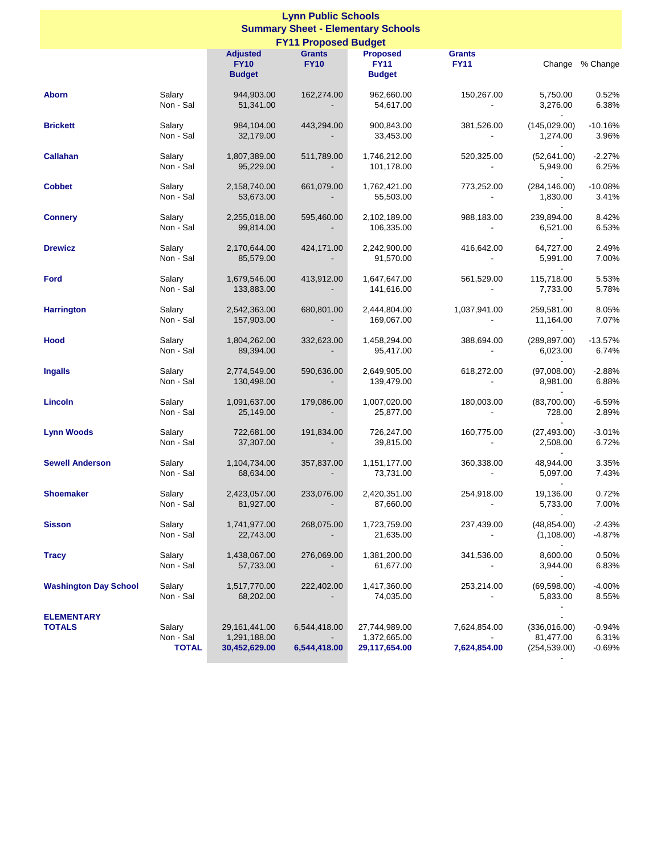| <b>Lynn Public Schools</b><br><b>Summary Sheet - Elementary Schools</b> |                                     |                                                  |                                                          |                                                 |                                           |                                                        |                               |  |  |
|-------------------------------------------------------------------------|-------------------------------------|--------------------------------------------------|----------------------------------------------------------|-------------------------------------------------|-------------------------------------------|--------------------------------------------------------|-------------------------------|--|--|
| <b>FY11 Proposed Budget</b>                                             |                                     |                                                  |                                                          |                                                 |                                           |                                                        |                               |  |  |
|                                                                         |                                     | <b>Adjusted</b><br><b>FY10</b><br><b>Budget</b>  | <b>Grants</b><br><b>FY10</b>                             | <b>Proposed</b><br><b>FY11</b><br><b>Budget</b> | <b>Grants</b><br><b>FY11</b>              |                                                        | Change % Change               |  |  |
| <b>Aborn</b>                                                            | Salary<br>Non - Sal                 | 944,903.00<br>51,341.00                          | 162,274.00<br>$\sim 100$ km s $^{-1}$                    | 962,660.00<br>54,617.00                         | 150,267.00<br><b>Contractor</b>           | 5,750.00<br>3,276.00                                   | 0.52%<br>6.38%                |  |  |
| <b>Brickett</b>                                                         | Salary<br>Non - Sal                 | 984,104.00<br>32,179.00                          | 443,294.00<br>$\sim$                                     | 900,843.00<br>33,453.00                         | 381,526.00<br>$\sim$                      | (145, 029.00)<br>1,274.00<br>$\sim$                    | $-10.16%$<br>3.96%            |  |  |
| <b>Callahan</b>                                                         | Salary<br>Non - Sal                 | 1,807,389.00<br>95,229.00                        | 511,789.00<br>$\overline{\phantom{a}}$                   | 1,746,212.00<br>101,178.00                      | 520,325.00<br><b>Contract</b>             | (52,641.00)<br>5,949.00<br>$\sim$                      | $-2.27%$<br>6.25%             |  |  |
| <b>Cobbet</b>                                                           | Salary<br>Non - Sal                 | 2,158,740.00<br>53,673.00                        | 661,079.00<br>$\sim 100$                                 | 1,762,421.00<br>55,503.00                       | 773,252.00<br>$\sim 10^{11}$ km s $^{-1}$ | (284, 146.00)<br>1,830.00<br>$\sim$                    | $-10.08%$<br>3.41%            |  |  |
| <b>Connery</b>                                                          | Salary<br>Non - Sal                 | 2,255,018.00<br>99,814.00                        | 595,460.00<br>$\sim$                                     | 2,102,189.00<br>106,335.00                      | 988,183.00<br><b>Contract</b>             | 239,894.00<br>6,521.00                                 | 8.42%<br>6.53%                |  |  |
| <b>Drewicz</b>                                                          | Salary<br>Non - Sal                 | 2,170,644.00<br>85,579.00                        | 424,171.00<br>$\mathcal{L}_{\mathcal{A}}$                | 2,242,900.00<br>91,570.00                       | 416,642.00<br><b>Contractor</b>           | 64,727.00<br>5,991.00<br>$\sim$                        | 2.49%<br>7.00%                |  |  |
| <b>Ford</b>                                                             | Salary<br>Non - Sal                 | 1,679,546.00<br>133,883.00                       | 413,912.00<br>$\sim 100$                                 | 1,647,647.00<br>141,616.00                      | 561,529.00<br>$\sim 100$                  | 115,718.00<br>7,733.00                                 | 5.53%<br>5.78%                |  |  |
| <b>Harrington</b>                                                       | Salary<br>Non - Sal                 | 2,542,363.00<br>157,903.00                       | 680,801.00<br>$\sim$                                     | 2,444,804.00<br>169,067.00                      | 1,037,941.00<br><b>Contract</b>           | 259,581.00<br>11,164.00<br>$\sim$                      | 8.05%<br>7.07%                |  |  |
| Hood                                                                    | Salary<br>Non - Sal                 | 1,804,262.00<br>89,394.00                        | 332,623.00<br>$\sim 100$                                 | 1,458,294.00<br>95,417.00                       | 388,694.00<br><b>Contract</b>             | (289, 897.00)<br>6,023.00                              | $-13.57%$<br>6.74%            |  |  |
| <b>Ingalls</b>                                                          | Salary<br>Non - Sal                 | 2,774,549.00<br>130,498.00                       | 590,636.00<br>$\sim$                                     | 2,649,905.00<br>139,479.00                      | 618,272.00<br>$\sim 10^{-1}$              | (97,008.00)<br>8,981.00<br>$\sim$                      | $-2.88%$<br>6.88%             |  |  |
| Lincoln                                                                 | Salary<br>Non - Sal                 | 1,091,637.00<br>25,149.00                        | 179,086.00                                               | 1,007,020.00<br>25,877.00                       | 180,003.00                                | (83,700.00)<br>728.00<br>$\sim$                        | $-6.59%$<br>2.89%             |  |  |
| <b>Lynn Woods</b>                                                       | Salary<br>Non - Sal                 | 722,681.00<br>37,307.00                          | 191,834.00<br>$\sim$ 100 $\pm$                           | 726,247.00<br>39,815.00                         | 160,775.00<br><b>Contractor</b>           | (27, 493.00)<br>2,508.00<br>$\sim$                     | $-3.01%$<br>6.72%             |  |  |
| <b>Sewell Anderson</b>                                                  | Salary<br>Non - Sal                 | 1,104,734.00<br>68,634.00                        | 357,837.00<br>$\blacksquare$                             | 1,151,177.00<br>73,731.00                       | 360,338.00                                | 48,944.00<br>5,097.00                                  | 3.35%<br>7.43%                |  |  |
| <b>Shoemaker</b>                                                        | Salary<br>Non - Sal                 | 2,423,057.00<br>81,927.00                        | 233,076.00                                               | 2,420,351.00<br>87,660.00                       | 254,918.00                                | 19,136.00<br>5,733.00                                  | 0.72%<br>7.00%                |  |  |
| <b>Sisson</b>                                                           | Salary<br>Non - Sal                 | 1,741,977.00<br>22,743.00                        | 268,075.00                                               | 1,723,759.00<br>21,635.00                       | 237,439.00                                | (48, 854.00)<br>(1,108.00)<br>$\overline{\phantom{a}}$ | $-2.43%$<br>$-4.87%$          |  |  |
| <b>Tracy</b>                                                            | Salary<br>Non - Sal                 | 1,438,067.00<br>57,733.00                        | 276,069.00                                               | 1,381,200.00<br>61,677.00                       | 341,536.00                                | 8,600.00<br>3,944.00<br>$\blacksquare$                 | 0.50%<br>6.83%                |  |  |
| <b>Washington Day School</b>                                            | Salary<br>Non - Sal                 | 1,517,770.00<br>68,202.00                        | 222,402.00                                               | 1,417,360.00<br>74,035.00                       | 253,214.00                                | (69, 598.00)<br>5,833.00                               | $-4.00%$<br>8.55%             |  |  |
| <b>ELEMENTARY</b><br><b>TOTALS</b>                                      | Salary<br>Non - Sal<br><b>TOTAL</b> | 29, 161, 441.00<br>1,291,188.00<br>30,452,629.00 | 6,544,418.00<br>$\overline{\phantom{a}}$<br>6,544,418.00 | 27,744,989.00<br>1,372,665.00<br>29,117,654.00  | 7,624,854.00<br>7,624,854.00              | (336,016.00)<br>81,477.00<br>(254, 539.00)             | $-0.94%$<br>6.31%<br>$-0.69%$ |  |  |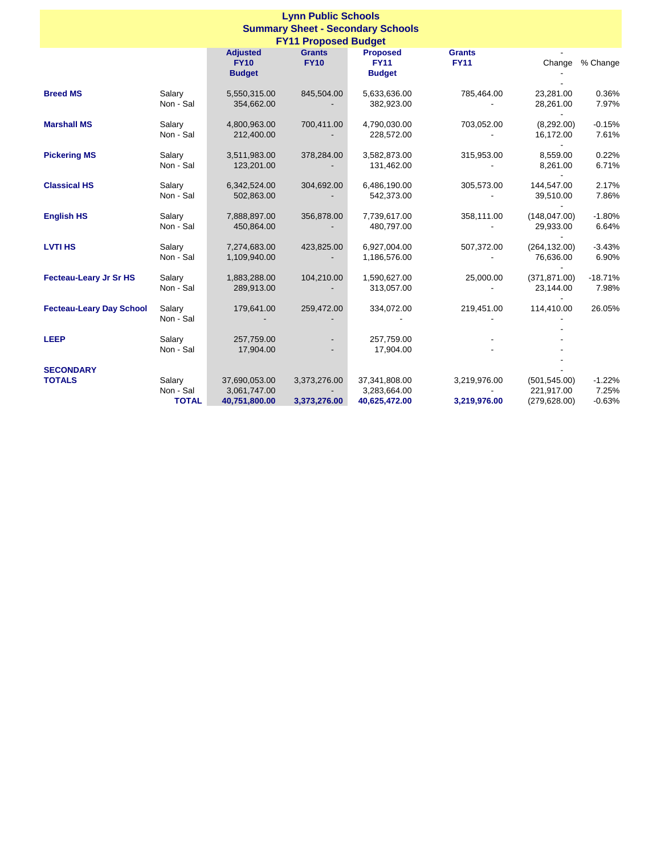| <b>Lynn Public Schools</b><br><b>Summary Sheet - Secondary Schools</b><br><b>FY11 Proposed Budget</b> |                                     |                                                 |                              |                                                 |                              |                                              |                               |  |
|-------------------------------------------------------------------------------------------------------|-------------------------------------|-------------------------------------------------|------------------------------|-------------------------------------------------|------------------------------|----------------------------------------------|-------------------------------|--|
|                                                                                                       |                                     | <b>Adjusted</b><br><b>FY10</b><br><b>Budget</b> | <b>Grants</b><br><b>FY10</b> | <b>Proposed</b><br><b>FY11</b><br><b>Budget</b> | <b>Grants</b><br><b>FY11</b> | Change                                       | % Change                      |  |
| <b>Breed MS</b>                                                                                       | Salary<br>Non - Sal                 | 5,550,315.00<br>354,662.00                      | 845,504.00                   | 5,633,636.00<br>382,923.00                      | 785,464.00                   | 23,281.00<br>28,261.00                       | 0.36%<br>7.97%                |  |
| <b>Marshall MS</b>                                                                                    | Salary<br>Non - Sal                 | 4,800,963.00<br>212,400.00                      | 700,411.00                   | 4,790,030.00<br>228,572.00                      | 703,052.00                   | (8,292.00)<br>16,172.00<br>$\sim$            | $-0.15%$<br>7.61%             |  |
| <b>Pickering MS</b>                                                                                   | Salary<br>Non - Sal                 | 3,511,983.00<br>123,201.00                      | 378,284.00                   | 3,582,873.00<br>131,462.00                      | 315,953.00                   | 8,559.00<br>8,261.00                         | 0.22%<br>6.71%                |  |
| <b>Classical HS</b>                                                                                   | Salary<br>Non - Sal                 | 6,342,524.00<br>502,863.00                      | 304,692.00                   | 6,486,190.00<br>542,373.00                      | 305,573.00                   | 144,547.00<br>39,510.00                      | 2.17%<br>7.86%                |  |
| <b>English HS</b>                                                                                     | Salary<br>Non - Sal                 | 7,888,897.00<br>450,864.00                      | 356,878.00                   | 7,739,617.00<br>480,797.00                      | 358,111.00                   | (148, 047.00)<br>29,933.00                   | $-1.80%$<br>6.64%             |  |
| <b>LVTI HS</b>                                                                                        | Salary<br>Non - Sal                 | 7,274,683.00<br>1,109,940.00                    | 423,825.00                   | 6,927,004.00<br>1,186,576.00                    | 507,372.00                   | (264, 132.00)<br>76,636.00                   | $-3.43%$<br>6.90%             |  |
| <b>Fecteau-Leary Jr Sr HS</b>                                                                         | Salary<br>Non - Sal                 | 1,883,288.00<br>289,913.00                      | 104,210.00                   | 1,590,627.00<br>313,057.00                      | 25,000.00                    | (371, 871.00)<br>23,144.00                   | $-18.71%$<br>7.98%            |  |
| <b>Fecteau-Leary Day School</b>                                                                       | Salary<br>Non - Sal                 | 179,641.00                                      | 259,472.00                   | 334,072.00                                      | 219,451.00                   | 114,410.00                                   | 26.05%                        |  |
| <b>LEEP</b>                                                                                           | Salary<br>Non - Sal                 | 257,759.00<br>17,904.00                         |                              | 257,759.00<br>17,904.00                         |                              |                                              |                               |  |
| <b>SECONDARY</b><br><b>TOTALS</b>                                                                     | Salary<br>Non - Sal<br><b>TOTAL</b> | 37,690,053.00<br>3,061,747.00<br>40,751,800.00  | 3,373,276.00<br>3,373,276.00 | 37,341,808.00<br>3,283,664.00<br>40,625,472.00  | 3,219,976.00<br>3,219,976.00 | (501, 545.00)<br>221,917.00<br>(279, 628.00) | $-1.22%$<br>7.25%<br>$-0.63%$ |  |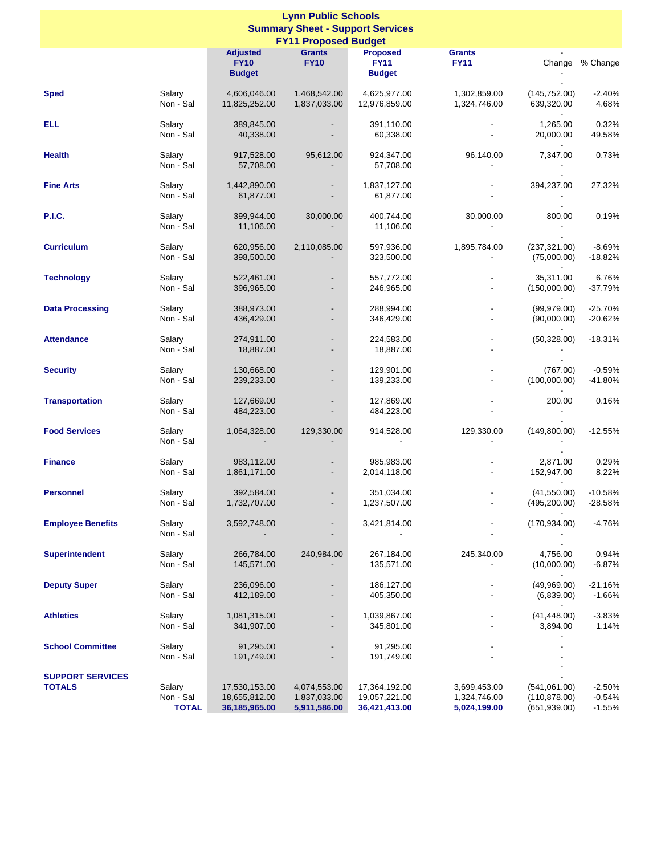| <b>Lynn Public Schools</b><br><b>Summary Sheet - Support Services</b> |                                     |                                                   |                                                      |                                                 |                                              |                                                         |                                  |  |  |
|-----------------------------------------------------------------------|-------------------------------------|---------------------------------------------------|------------------------------------------------------|-------------------------------------------------|----------------------------------------------|---------------------------------------------------------|----------------------------------|--|--|
| <b>FY11 Proposed Budget</b>                                           |                                     |                                                   |                                                      |                                                 |                                              |                                                         |                                  |  |  |
|                                                                       |                                     | <b>Adjusted</b><br><b>FY10</b><br><b>Budget</b>   | <b>Grants</b><br><b>FY10</b>                         | <b>Proposed</b><br><b>FY11</b><br><b>Budget</b> | <b>Grants</b><br><b>FY11</b>                 |                                                         | Change % Change                  |  |  |
| <b>Sped</b>                                                           | Salary<br>Non - Sal                 | 4,606,046.00<br>11,825,252.00                     | 1,468,542.00<br>1,837,033.00                         | 4,625,977.00<br>12,976,859.00                   | 1,302,859.00<br>1,324,746.00                 | (145, 752.00)<br>639,320.00<br>$\overline{\phantom{a}}$ | $-2.40%$<br>4.68%                |  |  |
| <b>ELL</b>                                                            | Salary<br>Non - Sal                 | 389,845.00<br>40,338.00                           | $\overline{\phantom{a}}$                             | 391,110.00<br>60,338.00                         |                                              | 1,265.00<br>20,000.00                                   | 0.32%<br>49.58%                  |  |  |
| <b>Health</b>                                                         | Salary<br>Non - Sal                 | 917,528.00<br>57,708.00                           | 95,612.00                                            | 924,347.00<br>57,708.00                         | 96,140.00                                    | 7,347.00                                                | 0.73%                            |  |  |
| <b>Fine Arts</b>                                                      | Salary<br>Non - Sal                 | 1,442,890.00<br>61,877.00                         |                                                      | 1,837,127.00<br>61,877.00                       |                                              | 394,237.00                                              | 27.32%                           |  |  |
| <b>P.I.C.</b>                                                         | Salary<br>Non - Sal                 | 399,944.00<br>11,106.00                           | 30,000.00                                            | 400,744.00<br>11,106.00                         | 30,000.00                                    | 800.00                                                  | 0.19%                            |  |  |
| <b>Curriculum</b>                                                     | Salary<br>Non - Sal                 | 620,956.00<br>398,500.00                          | 2,110,085.00                                         | 597,936.00<br>323,500.00                        | 1,895,784.00                                 | (237, 321.00)<br>(75,000.00)                            | $-8.69%$<br>$-18.82%$            |  |  |
| <b>Technology</b>                                                     | Salary<br>Non - Sal                 | 522,461.00<br>396,965.00                          |                                                      | 557,772.00<br>246,965.00                        |                                              | 35,311.00<br>(150,000.00)                               | 6.76%<br>$-37.79%$               |  |  |
| <b>Data Processing</b>                                                | Salary<br>Non - Sal                 | 388,973.00<br>436,429.00                          | $\overline{\phantom{a}}$                             | 288,994.00<br>346,429.00                        |                                              | (99, 979.00)<br>(90,000.00)                             | $-25.70%$<br>$-20.62%$           |  |  |
| <b>Attendance</b>                                                     | Salary<br>Non - Sal                 | 274,911.00<br>18,887.00                           |                                                      | 224,583.00<br>18,887.00                         |                                              | (50, 328.00)                                            | $-18.31%$                        |  |  |
| <b>Security</b>                                                       | Salary<br>Non - Sal                 | 130,668.00<br>239,233.00                          | $\overline{\phantom{a}}$<br>$\overline{\phantom{a}}$ | 129,901.00<br>139,233.00                        | $\overline{\phantom{a}}$                     | (767.00)<br>(100,000.00)                                | $-0.59%$<br>$-41.80%$            |  |  |
| <b>Transportation</b>                                                 | Salary<br>Non - Sal                 | 127,669.00<br>484,223.00                          |                                                      | 127,869.00<br>484,223.00                        |                                              | 200.00                                                  | 0.16%                            |  |  |
| <b>Food Services</b>                                                  | Salary<br>Non - Sal                 | 1,064,328.00                                      | 129,330.00                                           | 914,528.00                                      | 129,330.00                                   | (149,800.00)                                            | $-12.55%$                        |  |  |
| <b>Finance</b>                                                        | Salary<br>Non - Sal                 | 983,112.00<br>1,861,171.00                        | $\overline{\phantom{a}}$                             | 985,983.00<br>2,014,118.00                      |                                              | 2,871.00<br>152,947.00<br>$\overline{\phantom{a}}$      | 0.29%<br>8.22%                   |  |  |
| <b>Personnel</b>                                                      | Salary<br>Non - Sal                 | 392,584.00<br>1,732,707.00                        |                                                      | 351,034.00<br>1,237,507.00                      |                                              | (41,550.00)<br>(495, 200.00)                            | $-10.58%$<br>$-28.58%$           |  |  |
| <b>Employee Benefits</b>                                              | Salary<br>Non - Sal                 | 3,592,748.00                                      |                                                      | 3,421,814.00                                    |                                              | (170, 934.00)                                           | $-4.76%$                         |  |  |
| <b>Superintendent</b>                                                 | Salary<br>Non - Sal                 | 266,784.00<br>145,571.00                          | 240,984.00                                           | 267,184.00<br>135,571.00                        | 245,340.00                                   | 4,756.00<br>(10,000.00)                                 | 0.94%<br>$-6.87%$                |  |  |
| <b>Deputy Super</b>                                                   | Salary<br>Non - Sal                 | 236,096.00<br>412,189.00                          |                                                      | 186,127.00<br>405,350.00                        |                                              | (49,969.00)<br>(6,839.00)                               | $-21.16%$<br>$-1.66%$            |  |  |
| <b>Athletics</b>                                                      | Salary<br>Non - Sal                 | 1,081,315.00<br>341,907.00                        |                                                      | 1,039,867.00<br>345,801.00                      |                                              | (41, 448.00)<br>3,894.00                                | $-3.83%$<br>1.14%                |  |  |
| <b>School Committee</b>                                               | Salary<br>Non - Sal                 | 91,295.00<br>191,749.00                           |                                                      | 91,295.00<br>191,749.00                         |                                              |                                                         |                                  |  |  |
| <b>SUPPORT SERVICES</b><br><b>TOTALS</b>                              | Salary<br>Non - Sal<br><b>TOTAL</b> | 17,530,153.00<br>18,655,812.00<br>36, 185, 965.00 | 4,074,553.00<br>1,837,033.00<br>5,911,586.00         | 17,364,192.00<br>19,057,221.00<br>36,421,413.00 | 3,699,453.00<br>1,324,746.00<br>5,024,199.00 | (541,061.00)<br>(110, 878.00)<br>(651,939.00)           | $-2.50%$<br>$-0.54%$<br>$-1.55%$ |  |  |